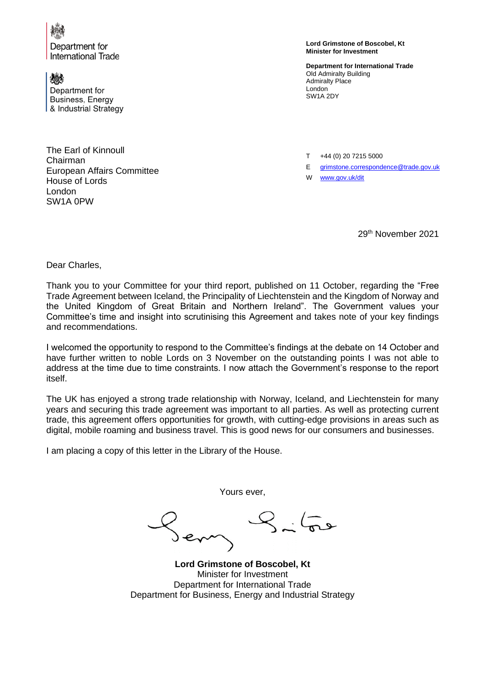

Department for **International Trade** 

微 Department for Business, Energy & Industrial Strategy

The Earl of Kinnoull Chairman European Affairs Committee House of Lords London SW1A 0PW

**Lord Grimstone of Boscobel, Kt Minister for Investment**

**Department for International Trade** Old Admiralty Building Admiralty Place London SW1A 2DY

T +44 (0) 20 7215 5000

E [grimstone.correspondence@trade.gov.uk](mailto:grimstone.correspondence@trade.gov.uk)

W [www.gov.uk/dit](http://www.gov.uk/dit)

29th November 2021

Dear Charles,

Thank you to your Committee for your third report, published on 11 October, regarding the "Free Trade Agreement between Iceland, the Principality of Liechtenstein and the Kingdom of Norway and the United Kingdom of Great Britain and Northern Ireland". The Government values your Committee's time and insight into scrutinising this Agreement and takes note of your key findings and recommendations.

I welcomed the opportunity to respond to the Committee's findings at the debate on 14 October and have further written to noble Lords on 3 November on the outstanding points I was not able to address at the time due to time constraints. I now attach the Government's response to the report itself.

The UK has enjoyed a strong trade relationship with Norway, Iceland, and Liechtenstein for many years and securing this trade agreement was important to all parties. As well as protecting current trade, this agreement offers opportunities for growth, with cutting-edge provisions in areas such as digital, mobile roaming and business travel. This is good news for our consumers and businesses.

I am placing a copy of this letter in the Library of the House.

Yours ever,

**Lord Grimstone of Boscobel, Kt** Minister for Investment Department for International Trade Department for Business, Energy and Industrial Strategy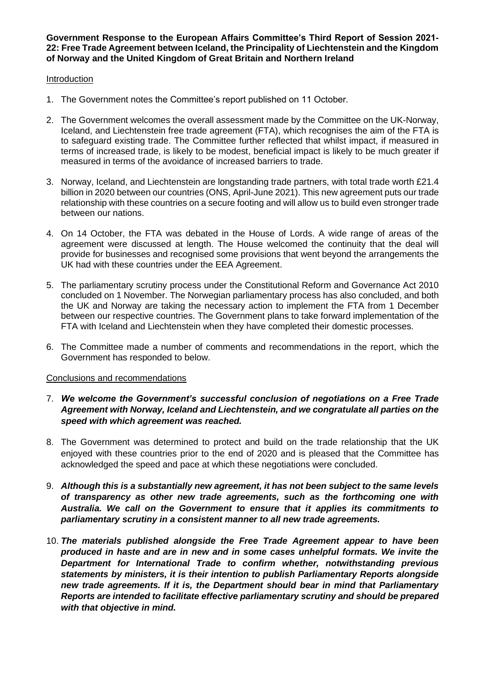### **Government Response to the European Affairs Committee's Third Report of Session 2021- 22: Free Trade Agreement between Iceland, the Principality of Liechtenstein and the Kingdom of Norway and the United Kingdom of Great Britain and Northern Ireland**

### Introduction

- 1. The Government notes the Committee's report published on 11 October.
- 2. The Government welcomes the overall assessment made by the Committee on the UK-Norway, Iceland, and Liechtenstein free trade agreement (FTA), which recognises the aim of the FTA is to safeguard existing trade. The Committee further reflected that whilst impact, if measured in terms of increased trade, is likely to be modest, beneficial impact is likely to be much greater if measured in terms of the avoidance of increased barriers to trade.
- 3. Norway, Iceland, and Liechtenstein are longstanding trade partners, with total trade worth £21.4 billion in 2020 between our countries (ONS, April-June 2021). This new agreement puts our trade relationship with these countries on a secure footing and will allow us to build even stronger trade between our nations.
- 4. On 14 October, the FTA was debated in the House of Lords. A wide range of areas of the agreement were discussed at length. The House welcomed the continuity that the deal will provide for businesses and recognised some provisions that went beyond the arrangements the UK had with these countries under the EEA Agreement.
- 5. The parliamentary scrutiny process under the Constitutional Reform and Governance Act 2010 concluded on 1 November. The Norwegian parliamentary process has also concluded, and both the UK and Norway are taking the necessary action to implement the FTA from 1 December between our respective countries. The Government plans to take forward implementation of the FTA with Iceland and Liechtenstein when they have completed their domestic processes.
- 6. The Committee made a number of comments and recommendations in the report, which the Government has responded to below.

## Conclusions and recommendations

- 7. *We welcome the Government's successful conclusion of negotiations on a Free Trade Agreement with Norway, Iceland and Liechtenstein, and we congratulate all parties on the speed with which agreement was reached.*
- 8. The Government was determined to protect and build on the trade relationship that the UK enjoyed with these countries prior to the end of 2020 and is pleased that the Committee has acknowledged the speed and pace at which these negotiations were concluded.
- 9. *Although this is a substantially new agreement, it has not been subject to the same levels of transparency as other new trade agreements, such as the forthcoming one with Australia. We call on the Government to ensure that it applies its commitments to parliamentary scrutiny in a consistent manner to all new trade agreements.*
- 10. *The materials published alongside the Free Trade Agreement appear to have been produced in haste and are in new and in some cases unhelpful formats. We invite the Department for International Trade to confirm whether, notwithstanding previous statements by ministers, it is their intention to publish Parliamentary Reports alongside new trade agreements. If it is, the Department should bear in mind that Parliamentary Reports are intended to facilitate effective parliamentary scrutiny and should be prepared with that objective in mind.*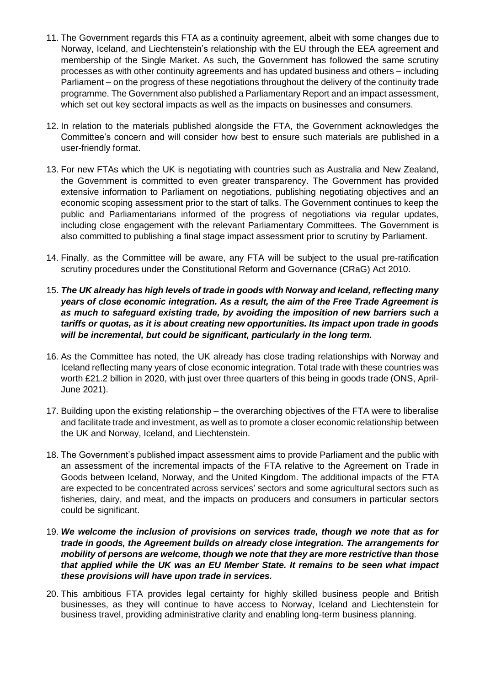- 11. The Government regards this FTA as a continuity agreement, albeit with some changes due to Norway, Iceland, and Liechtenstein's relationship with the EU through the EEA agreement and membership of the Single Market. As such, the Government has followed the same scrutiny processes as with other continuity agreements and has updated business and others – including Parliament – on the progress of these negotiations throughout the delivery of the continuity trade programme. The Government also published a Parliamentary Report and an impact assessment, which set out key sectoral impacts as well as the impacts on businesses and consumers.
- 12. In relation to the materials published alongside the FTA, the Government acknowledges the Committee's concern and will consider how best to ensure such materials are published in a user-friendly format.
- 13. For new FTAs which the UK is negotiating with countries such as Australia and New Zealand, the Government is committed to even greater transparency. The Government has provided extensive information to Parliament on negotiations, publishing negotiating objectives and an economic scoping assessment prior to the start of talks. The Government continues to keep the public and Parliamentarians informed of the progress of negotiations via regular updates, including close engagement with the relevant Parliamentary Committees. The Government is also committed to publishing a final stage impact assessment prior to scrutiny by Parliament.
- 14. Finally, as the Committee will be aware, any FTA will be subject to the usual pre-ratification scrutiny procedures under the Constitutional Reform and Governance (CRaG) Act 2010.
- 15. *The UK already has high levels of trade in goods with Norway and Iceland, reflecting many years of close economic integration. As a result, the aim of the Free Trade Agreement is as much to safeguard existing trade, by avoiding the imposition of new barriers such a tariffs or quotas, as it is about creating new opportunities. Its impact upon trade in goods will be incremental, but could be significant, particularly in the long term.*
- 16. As the Committee has noted, the UK already has close trading relationships with Norway and Iceland reflecting many years of close economic integration. Total trade with these countries was worth £21.2 billion in 2020, with just over three quarters of this being in goods trade (ONS, April-June 2021).
- 17. Building upon the existing relationship the overarching objectives of the FTA were to liberalise and facilitate trade and investment, as well as to promote a closer economic relationship between the UK and Norway, Iceland, and Liechtenstein.
- 18. The Government's published impact assessment aims to provide Parliament and the public with an assessment of the incremental impacts of the FTA relative to the Agreement on Trade in Goods between Iceland, Norway, and the United Kingdom. The additional impacts of the FTA are expected to be concentrated across services' sectors and some agricultural sectors such as fisheries, dairy, and meat, and the impacts on producers and consumers in particular sectors could be significant.
- 19. *We welcome the inclusion of provisions on services trade, though we note that as for trade in goods, the Agreement builds on already close integration. The arrangements for mobility of persons are welcome, though we note that they are more restrictive than those that applied while the UK was an EU Member State. It remains to be seen what impact these provisions will have upon trade in services.*
- 20. This ambitious FTA provides legal certainty for highly skilled business people and British businesses, as they will continue to have access to Norway, Iceland and Liechtenstein for business travel, providing administrative clarity and enabling long-term business planning.